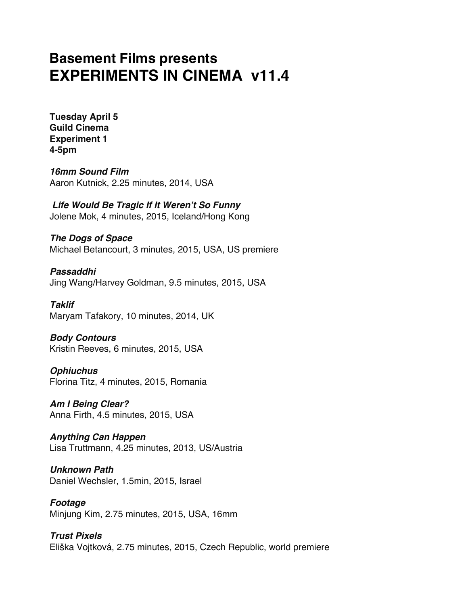# **Basement Films presents EXPERIMENTS IN CINEMA v11.4**

**Tuesday April 5 Guild Cinema Experiment 1 4-5pm** 

*16mm Sound Film* Aaron Kutnick, 2.25 minutes, 2014, USA

*Life Would Be Tragic If It Weren't So Funny* Jolene Mok, 4 minutes, 2015, Iceland/Hong Kong

*The Dogs of Space* Michael Betancourt, 3 minutes, 2015, USA, US premiere

*Passaddhi* Jing Wang/Harvey Goldman, 9.5 minutes, 2015, USA

*Taklif* Maryam Tafakory, 10 minutes, 2014, UK

*Body Contours* Kristin Reeves, 6 minutes, 2015, USA

*Ophiuchus* Florina Titz, 4 minutes, 2015, Romania

*Am I Being Clear?* Anna Firth, 4.5 minutes, 2015, USA

*Anything Can Happen* Lisa Truttmann, 4.25 minutes, 2013, US/Austria

*Unknown Path* Daniel Wechsler, 1.5min, 2015, Israel

*Footage* Minjung Kim, 2.75 minutes, 2015, USA, 16mm

*Trust Pixels* Eliška Vojtková, 2.75 minutes, 2015, Czech Republic, world premiere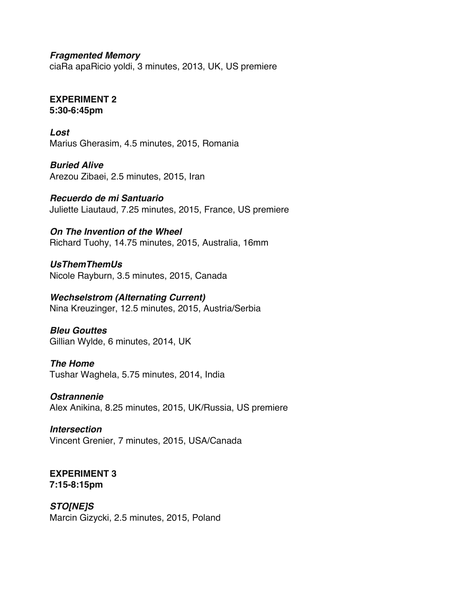*Fragmented Memory*

ciaRa apaRicio yoldi, 3 minutes, 2013, UK, US premiere

# **EXPERIMENT 2 5:30-6:45pm**

*Lost* Marius Gherasim, 4.5 minutes, 2015, Romania

*Buried Alive* Arezou Zibaei, 2.5 minutes, 2015, Iran

*Recuerdo de mi Santuario* Juliette Liautaud, 7.25 minutes, 2015, France, US premiere

# *On The Invention of the Wheel*

Richard Tuohy, 14.75 minutes, 2015, Australia, 16mm

*UsThemThemUs* Nicole Rayburn, 3.5 minutes, 2015, Canada

*Wechselstrom (Alternating Current)* Nina Kreuzinger, 12.5 minutes, 2015, Austria/Serbia

*Bleu Gouttes* Gillian Wylde, 6 minutes, 2014, UK

# *The Home*

Tushar Waghela, 5.75 minutes, 2014, India

*Ostrannenie*

Alex Anikina, 8.25 minutes, 2015, UK/Russia, US premiere

# *Intersection*

Vincent Grenier, 7 minutes, 2015, USA/Canada

#### **EXPERIMENT 3 7:15-8:15pm**

# *STO[NE]S*

Marcin Gizycki, 2.5 minutes, 2015, Poland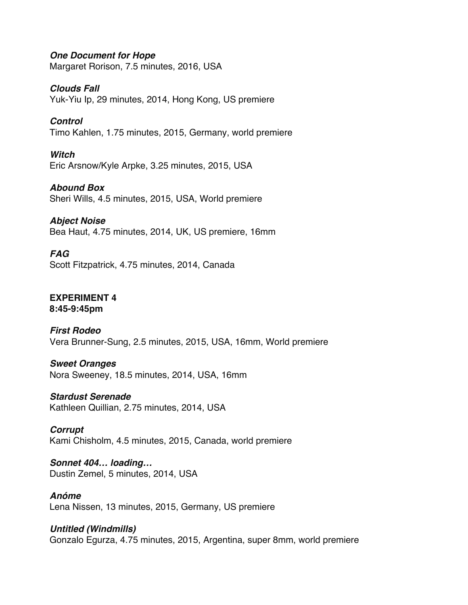*One Document for Hope*

Margaret Rorison, 7.5 minutes, 2016, USA

*Clouds Fall*

Yuk-Yiu Ip, 29 minutes, 2014, Hong Kong, US premiere

*Control*

Timo Kahlen, 1.75 minutes, 2015, Germany, world premiere

*Witch* Eric Arsnow/Kyle Arpke, 3.25 minutes, 2015, USA

*Abound Box* Sheri Wills, 4.5 minutes, 2015, USA, World premiere

*Abject Noise* Bea Haut, 4.75 minutes, 2014, UK, US premiere, 16mm

*FAG* Scott Fitzpatrick, 4.75 minutes, 2014, Canada

**EXPERIMENT 4 8:45-9:45pm**

*First Rodeo* Vera Brunner-Sung, 2.5 minutes, 2015, USA, 16mm, World premiere

*Sweet Oranges* Nora Sweeney, 18.5 minutes, 2014, USA, 16mm

*Stardust Serenade* Kathleen Quillian, 2.75 minutes, 2014, USA

*Corrupt* Kami Chisholm, 4.5 minutes, 2015, Canada, world premiere

*Sonnet 404… loading…* Dustin Zemel, 5 minutes, 2014, USA

*Anóme* Lena Nissen, 13 minutes, 2015, Germany, US premiere

*Untitled (Windmills)*

Gonzalo Egurza, 4.75 minutes, 2015, Argentina, super 8mm, world premiere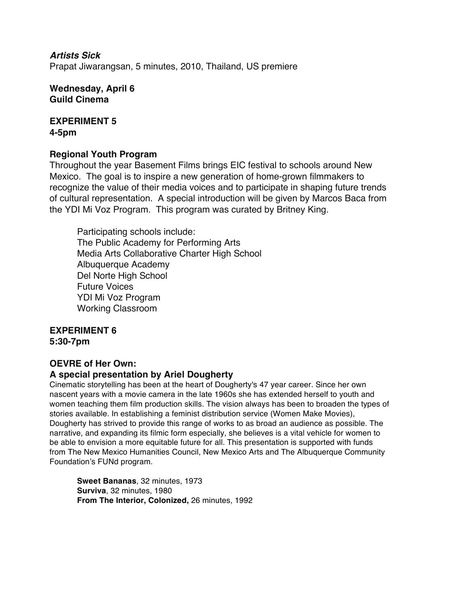*Artists Sick* Prapat Jiwarangsan, 5 minutes, 2010, Thailand, US premiere

**Wednesday, April 6 Guild Cinema**

**EXPERIMENT 5 4-5pm** 

# **Regional Youth Program**

Throughout the year Basement Films brings EIC festival to schools around New Mexico. The goal is to inspire a new generation of home-grown filmmakers to recognize the value of their media voices and to participate in shaping future trends of cultural representation. A special introduction will be given by Marcos Baca from the YDI Mi Voz Program. This program was curated by Britney King.

Participating schools include: The Public Academy for Performing Arts Media Arts Collaborative Charter High School Albuquerque Academy Del Norte High School Future Voices YDI Mi Voz Program Working Classroom

#### **EXPERIMENT 6 5:30-7pm**

# **OEVRE of Her Own:**

# **A special presentation by Ariel Dougherty**

Cinematic storytelling has been at the heart of Dougherty's 47 year career. Since her own nascent years with a movie camera in the late 1960s she has extended herself to youth and women teaching them film production skills. The vision always has been to broaden the types of stories available. In establishing a feminist distribution service (Women Make Movies), Dougherty has strived to provide this range of works to as broad an audience as possible. The narrative, and expanding its filmic form especially, she believes is a vital vehicle for women to be able to envision a more equitable future for all. This presentation is supported with funds from The New Mexico Humanities Council, New Mexico Arts and The Albuquerque Community Foundation's FUNd program.

**Sweet Bananas**, 32 minutes, 1973 **Surviva**, 32 minutes, 1980 **From The Interior, Colonized,** 26 minutes, 1992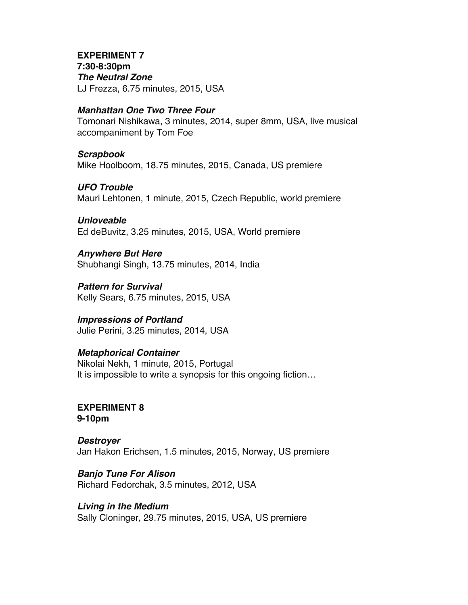### **EXPERIMENT 7**

**7:30-8:30pm** *The Neutral Zone* LJ Frezza, 6.75 minutes, 2015, USA

# *Manhattan One Two Three Four*

Tomonari Nishikawa, 3 minutes, 2014, super 8mm, USA, live musical accompaniment by Tom Foe

# *Scrapbook*

Mike Hoolboom, 18.75 minutes, 2015, Canada, US premiere

# *UFO Trouble*

Mauri Lehtonen, 1 minute, 2015, Czech Republic, world premiere

# *Unloveable*

Ed deBuvitz, 3.25 minutes, 2015, USA, World premiere

# *Anywhere But Here*

Shubhangi Singh, 13.75 minutes, 2014, India

*Pattern for Survival* Kelly Sears, 6.75 minutes, 2015, USA

# *Impressions of Portland*

Julie Perini, 3.25 minutes, 2014, USA

# *Metaphorical Container*

Nikolai Nekh, 1 minute, 2015, Portugal It is impossible to write a synopsis for this ongoing fiction…

#### **EXPERIMENT 8 9-10pm**

*Destroyer* Jan Hakon Erichsen, 1.5 minutes, 2015, Norway, US premiere

*Banjo Tune For Alison* Richard Fedorchak, 3.5 minutes, 2012, USA

# *Living in the Medium*

Sally Cloninger, 29.75 minutes, 2015, USA, US premiere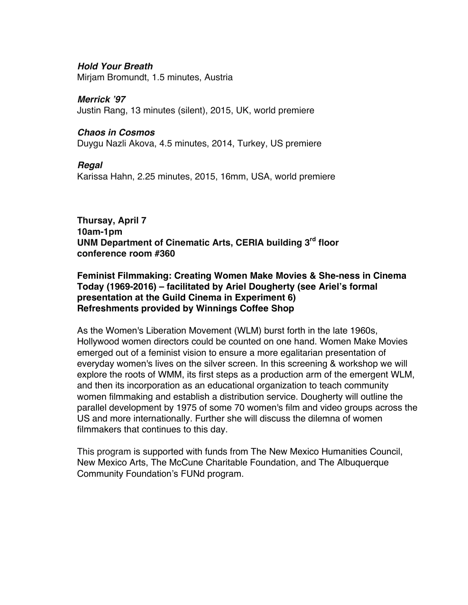# *Hold Your Breath*

Mirjam Bromundt, 1.5 minutes, Austria

# *Merrick '97*

Justin Rang, 13 minutes (silent), 2015, UK, world premiere

### *Chaos in Cosmos*

Duygu Nazli Akova, 4.5 minutes, 2014, Turkey, US premiere

# *Regal*

Karissa Hahn, 2.25 minutes, 2015, 16mm, USA, world premiere

### **Thursay, April 7 10am-1pm UNM Department of Cinematic Arts, CERIA building 3rd floor conference room #360**

# **Feminist Filmmaking: Creating Women Make Movies & She-ness in Cinema Today (1969-2016) – facilitated by Ariel Dougherty (see Ariel's formal presentation at the Guild Cinema in Experiment 6) Refreshments provided by Winnings Coffee Shop**

As the Women's Liberation Movement (WLM) burst forth in the late 1960s, Hollywood women directors could be counted on one hand. Women Make Movies emerged out of a feminist vision to ensure a more egalitarian presentation of everyday women's lives on the silver screen. In this screening & workshop we will explore the roots of WMM, its first steps as a production arm of the emergent WLM, and then its incorporation as an educational organization to teach community women filmmaking and establish a distribution service. Dougherty will outline the parallel development by 1975 of some 70 women's film and video groups across the US and more internationally. Further she will discuss the dilemna of women filmmakers that continues to this day.

This program is supported with funds from The New Mexico Humanities Council, New Mexico Arts, The McCune Charitable Foundation, and The Albuquerque Community Foundation's FUNd program.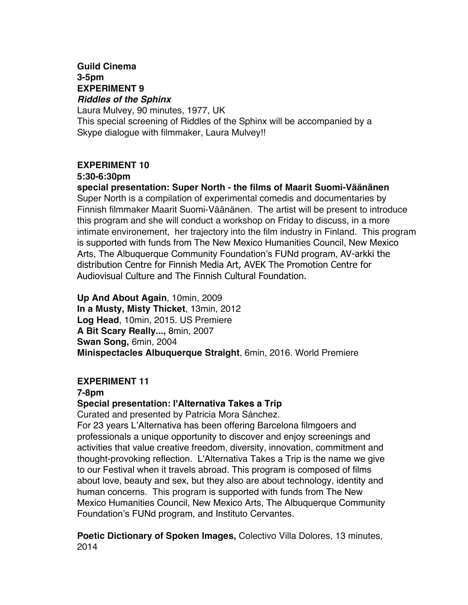# **Guild Cinema 3-5pm EXPERIMENT 9** *Riddles of the Sphinx*

Laura Mulvey, 90 minutes, 1977, UK This special screening of Riddles of the Sphinx will be accompanied by a Skype dialogue with filmmaker, Laura Mulvey!!

# **EXPERIMENT 10**

#### **5:30-6:30pm**

**special presentation: Super North - the films of Maarit Suomi-Väänänen** Super North is a compilation of experimental comedis and documentaries by Finnish filmmaker Maarit Suomi-Väänänen. The artist will be present to introduce this program and she will conduct a workshop on Friday to discuss, in a more intimate environement, her trajectory into the film industry in Finland. This program is supported with funds from The New Mexico Humanities Council, New Mexico Arts, The Albuquerque Community Foundation's FUNd program, AV-arkki the distribution Centre for Finnish Media Art, AVEK The Promotion Centre for Audiovisual Culture and The Finnish Cultural Foundation.

**Up And About Again**, 10min, 2009 **In a Musty, Misty Thicket**, 13min, 2012 **Log Head**, 10min, 2015. US Premiere **A Bit Scary Really...,** 8min, 2007 **Swan Song,** 6min, 2004 **Minispectacles Albuquerque Straight**, 6min, 2016. World Premiere

# **EXPERIMENT 11**

# **7-8pm**

# **Special presentation: l'Alternativa Takes a Trip**

Curated and presented by Patricia Mora Sánchez.

For 23 years L'Alternativa has been offering Barcelona filmgoers and professionals a unique opportunity to discover and enjoy screenings and activities that value creative freedom, diversity, innovation, commitment and thought-provoking reflection. L'Alternativa Takes a Trip is the name we give to our Festival when it travels abroad. This program is composed of films about love, beauty and sex, but they also are about technology, identity and human concerns. This program is supported with funds from The New Mexico Humanities Council, New Mexico Arts, The Albuquerque Community Foundation's FUNd program, and Instituto Cervantes.

**Poetic Dictionary of Spoken Images,** Colectivo Villa Dolores, 13 minutes, 2014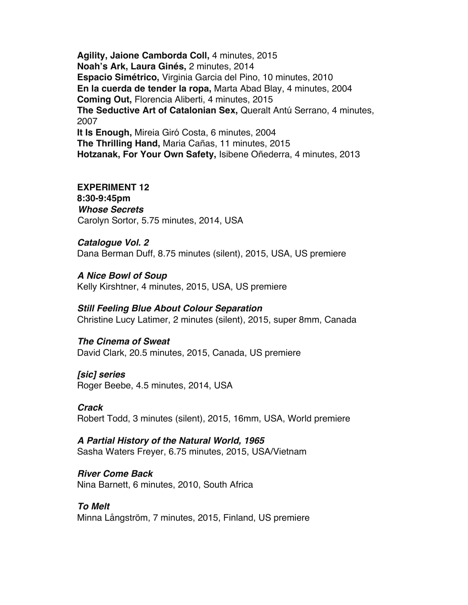**Agility, Jaione Camborda Coll,** 4 minutes, 2015 **Noah's Ark, Laura Ginés,** 2 minutes, 2014 **Espacio Simétrico,** Virginia Garcia del Pino, 10 minutes, 2010 **En la cuerda de tender la ropa,** Marta Abad Blay, 4 minutes, 2004 **Coming Out,** Florencia Aliberti, 4 minutes, 2015 **The Seductive Art of Catalonian Sex,** Queralt Antú Serrano, 4 minutes, 2007 **It Is Enough,** Mireia Giró Costa, 6 minutes, 2004 **The Thrilling Hand,** Maria Cañas, 11 minutes, 2015 **Hotzanak, For Your Own Safety,** Isibene Oñederra, 4 minutes, 2013

#### **EXPERIMENT 12**

**8:30-9:45pm** *Whose Secrets* Carolyn Sortor, 5.75 minutes, 2014, USA

*Catalogue Vol. 2* Dana Berman Duff, 8.75 minutes (silent), 2015, USA, US premiere

*A Nice Bowl of Soup* Kelly Kirshtner, 4 minutes, 2015, USA, US premiere

# *Still Feeling Blue About Colour Separation*

Christine Lucy Latimer, 2 minutes (silent), 2015, super 8mm, Canada

# *The Cinema of Sweat*

David Clark, 20.5 minutes, 2015, Canada, US premiere

# *[sic] series*

Roger Beebe, 4.5 minutes, 2014, USA

#### *Crack*

Robert Todd, 3 minutes (silent), 2015, 16mm, USA, World premiere

# *A Partial History of the Natural World, 1965*

Sasha Waters Freyer, 6.75 minutes, 2015, USA/Vietnam

# *River Come Back*

Nina Barnett, 6 minutes, 2010, South Africa

# *To Melt*

Minna Långström, 7 minutes, 2015, Finland, US premiere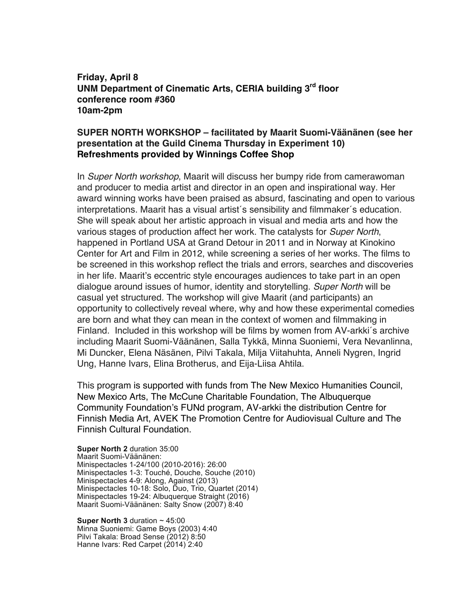**Friday, April 8 UNM Department of Cinematic Arts, CERIA building 3rd floor conference room #360 10am-2pm**

# **SUPER NORTH WORKSHOP – facilitated by Maarit Suomi-Väänänen (see her presentation at the Guild Cinema Thursday in Experiment 10) Refreshments provided by Winnings Coffee Shop**

In *Super North workshop*, Maarit will discuss her bumpy ride from camerawoman and producer to media artist and director in an open and inspirational way. Her award winning works have been praised as absurd, fascinating and open to various interpretations. Maarit has a visual artist´s sensibility and filmmaker´s education. She will speak about her artistic approach in visual and media arts and how the various stages of production affect her work. The catalysts for *Super North*, happened in Portland USA at Grand Detour in 2011 and in Norway at Kinokino Center for Art and Film in 2012, while screening a series of her works. The films to be screened in this workshop reflect the trials and errors, searches and discoveries in her life. Maarit's eccentric style encourages audiences to take part in an open dialogue around issues of humor, identity and storytelling. *Super North* will be casual yet structured. The workshop will give Maarit (and participants) an opportunity to collectively reveal where, why and how these experimental comedies are born and what they can mean in the context of women and filmmaking in Finland. Included in this workshop will be films by women from AV-arkki´s archive including Maarit Suomi-Väänänen, Salla Tykkä, Minna Suoniemi, Vera Nevanlinna, Mi Duncker, Elena Näsänen, Pilvi Takala, Milja Viitahuhta, Anneli Nygren, Ingrid Ung, Hanne Ivars, Elina Brotherus, and Eija-Liisa Ahtila.

This program is supported with funds from The New Mexico Humanities Council, New Mexico Arts, The McCune Charitable Foundation, The Albuquerque Community Foundation's FUNd program, AV-arkki the distribution Centre for Finnish Media Art, AVEK The Promotion Centre for Audiovisual Culture and The Finnish Cultural Foundation.

**Super North 2** duration 35:00 Maarit Suomi-Väänänen: Minispectacles 1-24/100 (2010-2016): 26:00 Minispectacles 1-3: Touché, Douche, Souche (2010) Minispectacles 4-9: Along, Against (2013) Minispectacles 10-18: Solo, Duo, Trio, Quartet (2014) Minispectacles 19-24: Albuquerque Straight (2016) Maarit Suomi-Väänänen: Salty Snow (2007) 8:40

**Super North 3** duration ~ 45:00 Minna Suoniemi: Game Boys (2003) 4:40 Pilvi Takala: Broad Sense (2012) 8:50 Hanne Ivars: Red Carpet (2014) 2:40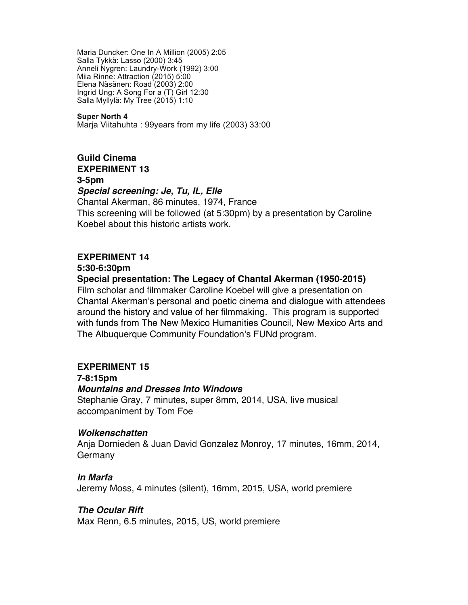Maria Duncker: One In A Million (2005) 2:05 Salla Tykkä: Lasso (2000) 3:45 Anneli Nygren: Laundry-Work (1992) 3:00 Miia Rinne: Attraction (2015) 5:00 Elena Näsänen: Road (2003) 2:00 Ingrid Ung: A Song For a (T) Girl 12:30 Salla Myllylä: My Tree (2015) 1:10

#### **Super North 4**

Marja Viitahuhta : 99years from my life (2003) 33:00

# **Guild Cinema EXPERIMENT 13 3-5pm**

#### *Special screening: Je, Tu, IL, Elle*

Chantal Akerman, 86 minutes, 1974, France This screening will be followed (at 5:30pm) by a presentation by Caroline Koebel about this historic artists work.

#### **EXPERIMENT 14**

**5:30-6:30pm**

#### **Special presentation: The Legacy of Chantal Akerman (1950-2015)**

Film scholar and filmmaker Caroline Koebel will give a presentation on Chantal Akerman's personal and poetic cinema and dialogue with attendees around the history and value of her filmmaking. This program is supported with funds from The New Mexico Humanities Council, New Mexico Arts and The Albuquerque Community Foundation's FUNd program.

# **EXPERIMENT 15**

#### **7-8:15pm**

#### *Mountains and Dresses Into Windows*

Stephanie Gray, 7 minutes, super 8mm, 2014, USA, live musical accompaniment by Tom Foe

#### *Wolkenschatten*

Anja Dornieden & Juan David Gonzalez Monroy, 17 minutes, 16mm, 2014, Germany

#### *In Marfa*

Jeremy Moss, 4 minutes (silent), 16mm, 2015, USA, world premiere

#### *The Ocular Rift*

Max Renn, 6.5 minutes, 2015, US, world premiere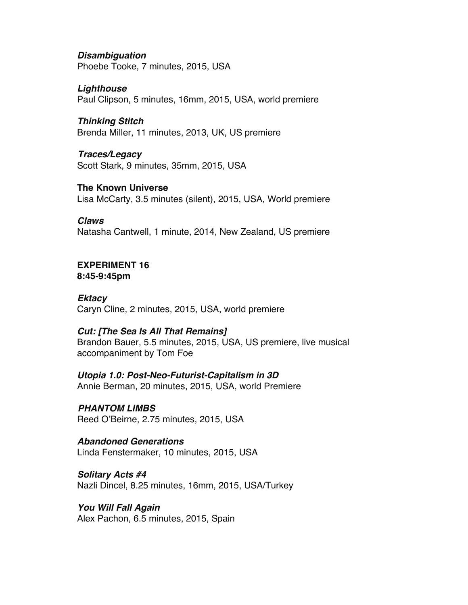#### *Disambiguation*

Phoebe Tooke, 7 minutes, 2015, USA

# *Lighthouse*

Paul Clipson, 5 minutes, 16mm, 2015, USA, world premiere

# *Thinking Stitch*

Brenda Miller, 11 minutes, 2013, UK, US premiere

# *Traces/Legacy*

Scott Stark, 9 minutes, 35mm, 2015, USA

# **The Known Universe**

Lisa McCarty, 3.5 minutes (silent), 2015, USA, World premiere

# *Claws*

Natasha Cantwell, 1 minute, 2014, New Zealand, US premiere

# **EXPERIMENT 16**

**8:45-9:45pm**

# *Ektacy*

Caryn Cline, 2 minutes, 2015, USA, world premiere

# *Cut: [The Sea Is All That Remains]*

Brandon Bauer, 5.5 minutes, 2015, USA, US premiere, live musical accompaniment by Tom Foe

# *Utopia 1.0: Post-Neo-Futurist-Capitalism in 3D*

Annie Berman, 20 minutes, 2015, USA, world Premiere

# *PHANTOM LIMBS*

Reed O'Beirne, 2.75 minutes, 2015, USA

# *Abandoned Generations*

Linda Fenstermaker, 10 minutes, 2015, USA

# *Solitary Acts #4*

Nazli Dincel, 8.25 minutes, 16mm, 2015, USA/Turkey

# *You Will Fall Again*

Alex Pachon, 6.5 minutes, 2015, Spain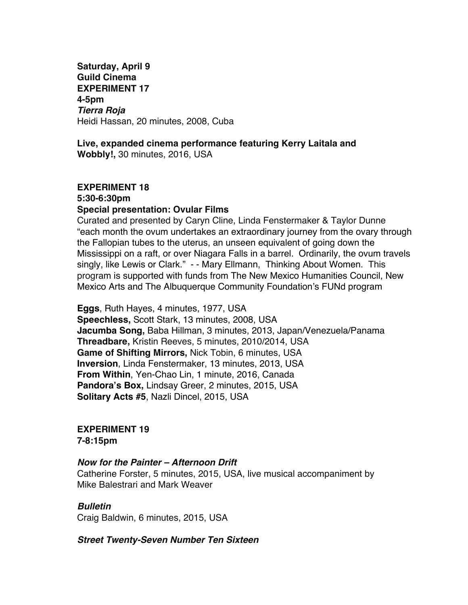**Saturday, April 9 Guild Cinema EXPERIMENT 17 4-5pm** *Tierra Roja* Heidi Hassan, 20 minutes, 2008, Cuba

# **Live, expanded cinema performance featuring Kerry Laitala and**

**Wobbly!,** 30 minutes, 2016, USA

# **EXPERIMENT 18 5:30-6:30pm Special presentation: Ovular Films**

Curated and presented by Caryn Cline, Linda Fenstermaker & Taylor Dunne "each month the ovum undertakes an extraordinary journey from the ovary through the Fallopian tubes to the uterus, an unseen equivalent of going down the Mississippi on a raft, or over Niagara Falls in a barrel. Ordinarily, the ovum travels singly, like Lewis or Clark." - - Mary Ellmann, Thinking About Women. This program is supported with funds from The New Mexico Humanities Council, New Mexico Arts and The Albuquerque Community Foundation's FUNd program

**Eggs**, Ruth Hayes, 4 minutes, 1977, USA **Speechless,** Scott Stark, 13 minutes, 2008, USA **Jacumba Song,** Baba Hillman, 3 minutes, 2013, Japan/Venezuela/Panama **Threadbare,** Kristin Reeves, 5 minutes, 2010/2014, USA **Game of Shifting Mirrors,** Nick Tobin, 6 minutes, USA **Inversion**, Linda Fenstermaker, 13 minutes, 2013, USA **From Within**, Yen-Chao Lin, 1 minute, 2016, Canada **Pandora's Box,** Lindsay Greer, 2 minutes, 2015, USA **Solitary Acts #5**, Nazli Dincel, 2015, USA

**EXPERIMENT 19 7-8:15pm**

# *Now for the Painter – Afternoon Drift*

Catherine Forster, 5 minutes, 2015, USA, live musical accompaniment by Mike Balestrari and Mark Weaver

# *Bulletin*

Craig Baldwin, 6 minutes, 2015, USA

*Street Twenty-Seven Number Ten Sixteen*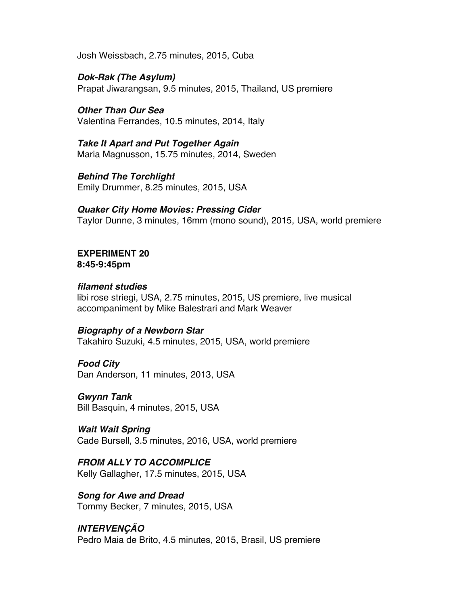Josh Weissbach, 2.75 minutes, 2015, Cuba

*Dok-Rak (The Asylum)* Prapat Jiwarangsan, 9.5 minutes, 2015, Thailand, US premiere

*Other Than Our Sea* Valentina Ferrandes, 10.5 minutes, 2014, Italy

*Take It Apart and Put Together Again* Maria Magnusson, 15.75 minutes, 2014, Sweden

*Behind The Torchlight* Emily Drummer, 8.25 minutes, 2015, USA

*Quaker City Home Movies: Pressing Cider* Taylor Dunne, 3 minutes, 16mm (mono sound), 2015, USA, world premiere

**EXPERIMENT 20 8:45-9:45pm**

# *filament studies*

libi rose striegi, USA, 2.75 minutes, 2015, US premiere, live musical accompaniment by Mike Balestrari and Mark Weaver

# *Biography of a Newborn Star*

Takahiro Suzuki, 4.5 minutes, 2015, USA, world premiere

*Food City*

Dan Anderson, 11 minutes, 2013, USA

*Gwynn Tank* Bill Basquin, 4 minutes, 2015, USA

*Wait Wait Spring* Cade Bursell, 3.5 minutes, 2016, USA, world premiere

*FROM ALLY TO ACCOMPLICE* Kelly Gallagher, 17.5 minutes, 2015, USA

*Song for Awe and Dread* Tommy Becker, 7 minutes, 2015, USA

# *INTERVENÇÃO*

Pedro Maia de Brito, 4.5 minutes, 2015, Brasil, US premiere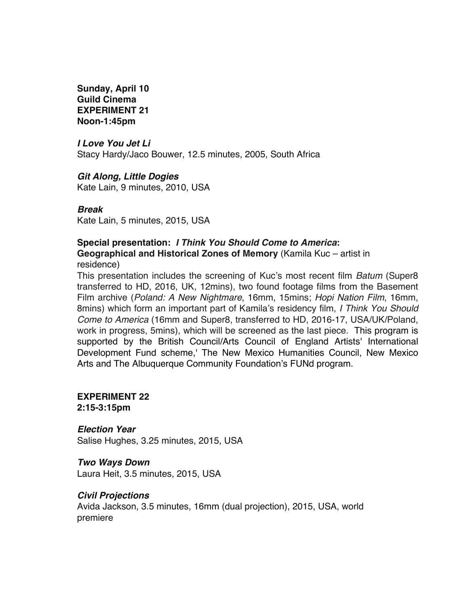**Sunday, April 10 Guild Cinema EXPERIMENT 21 Noon-1:45pm**

# *I Love You Jet Li*

Stacy Hardy/Jaco Bouwer, 12.5 minutes, 2005, South Africa

# *Git Along, Little Dogies*

Kate Lain, 9 minutes, 2010, USA

# *Break*

Kate Lain, 5 minutes, 2015, USA

# **Special presentation:** *I Think You Should Come to America***:**

**Geographical and Historical Zones of Memory** (Kamila Kuc – artist in residence)

This presentation includes the screening of Kuc's most recent film *Batum* (Super8 transferred to HD, 2016, UK, 12mins), two found footage films from the Basement Film archive (*Poland: A New Nightmare*, 16mm, 15mins; *Hopi Nation Film*, 16mm, 8mins) which form an important part of Kamila's residency film, *I Think You Should Come to America* (16mm and Super8, transferred to HD, 2016-17, USA/UK/Poland, work in progress, 5mins), which will be screened as the last piece. This program is supported by the British Council/Arts Council of England Artists' International Development Fund scheme,' The New Mexico Humanities Council, New Mexico Arts and The Albuquerque Community Foundation's FUNd program.

#### **EXPERIMENT 22 2:15-3:15pm**

# *Election Year*

Salise Hughes, 3.25 minutes, 2015, USA

# *Two Ways Down*

Laura Heit, 3.5 minutes, 2015, USA

# *Civil Projections*

Avida Jackson, 3.5 minutes, 16mm (dual projection), 2015, USA, world premiere